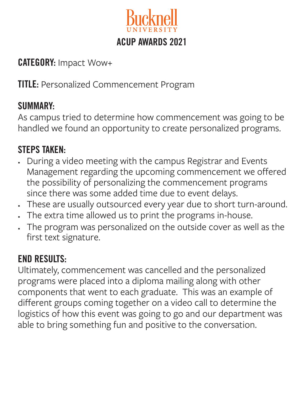

### CATEGORY: Impact Wow+

**TITLE: Personalized Commencement Program** 

### SUMMARY:

As campus tried to determine how commencement was going to be handled we found an opportunity to create personalized programs.

## STEPS TAKEN:

- During a video meeting with the campus Registrar and Events Management regarding the upcoming commencement we offered the possibility of personalizing the commencement programs since there was some added time due to event delays.
- These are usually outsourced every year due to short turn-around.
- The extra time allowed us to print the programs in-house.
- The program was personalized on the outside cover as well as the first text signature.

## END RESULTS:

Ultimately, commencement was cancelled and the personalized programs were placed into a diploma mailing along with other components that went to each graduate. This was an example of different groups coming together on a video call to determine the logistics of how this event was going to go and our department was able to bring something fun and positive to the conversation.